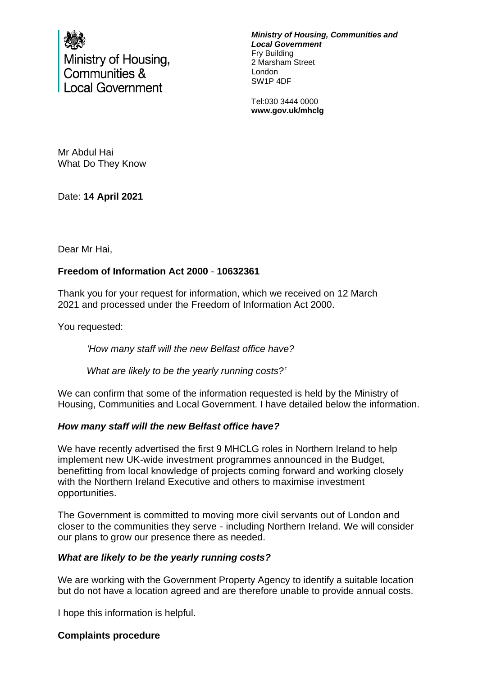

*Ministry of Housing, Communities and Local Government* Fry Building 2 Marsham Street London SW1P 4DF

Tel:030 3444 0000 **www.gov.uk/mhclg**

Mr Abdul Hai What Do They Know

Date: **14 April 2021**

Dear Mr Hai,

## **Freedom of Information Act 2000** - **10632361**

Thank you for your request for information, which we received on 12 March 2021 and processed under the Freedom of Information Act 2000.

You requested:

*'How many staff will the new Belfast office have?* 

*What are likely to be the yearly running costs?'*

We can confirm that some of the information requested is held by the Ministry of Housing, Communities and Local Government. I have detailed below the information.

## *How many staff will the new Belfast office have?*

We have recently advertised the first 9 MHCLG roles in Northern Ireland to help implement new UK-wide investment programmes announced in the Budget, benefitting from local knowledge of projects coming forward and working closely with the Northern Ireland Executive and others to maximise investment opportunities.

The Government is committed to moving more civil servants out of London and closer to the communities they serve - including Northern Ireland. We will consider our plans to grow our presence there as needed.

## *What are likely to be the yearly running costs?*

We are working with the Government Property Agency to identify a suitable location but do not have a location agreed and are therefore unable to provide annual costs.

I hope this information is helpful.

## **Complaints procedure**